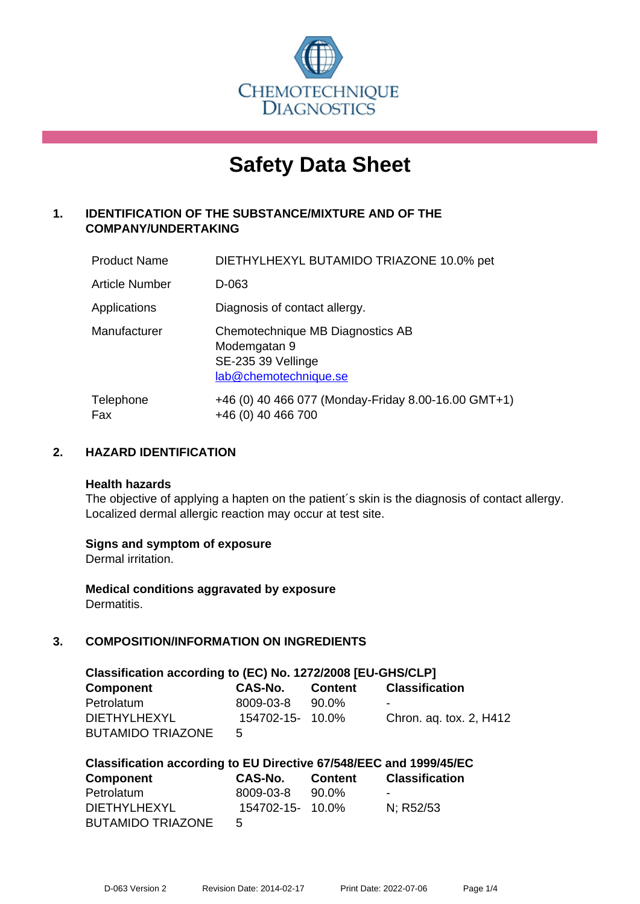

# **Safety Data Sheet**

# **1. IDENTIFICATION OF THE SUBSTANCE/MIXTURE AND OF THE COMPANY/UNDERTAKING**

| <b>Product Name</b>   | DIETHYLHEXYL BUTAMIDO TRIAZONE 10.0% pet                                                        |
|-----------------------|-------------------------------------------------------------------------------------------------|
| <b>Article Number</b> | D-063                                                                                           |
| Applications          | Diagnosis of contact allergy.                                                                   |
| Manufacturer          | Chemotechnique MB Diagnostics AB<br>Modemgatan 9<br>SE-235 39 Vellinge<br>lab@chemotechnique.se |
| Telephone<br>Fax      | +46 (0) 40 466 077 (Monday-Friday 8.00-16.00 GMT+1)<br>+46 (0) 40 466 700                       |

#### **2. HAZARD IDENTIFICATION**

#### **Health hazards**

The objective of applying a hapten on the patient's skin is the diagnosis of contact allergy. Localized dermal allergic reaction may occur at test site.

#### **Signs and symptom of exposure**

Dermal irritation.

**Medical conditions aggravated by exposure** Dermatitis.

# **3. COMPOSITION/INFORMATION ON INGREDIENTS**

| Classification according to (EC) No. 1272/2008 [EU-GHS/CLP] |                  |         |                         |  |
|-------------------------------------------------------------|------------------|---------|-------------------------|--|
| <b>Component</b>                                            | CAS-No.          | Content | <b>Classification</b>   |  |
| Petrolatum                                                  | 8009-03-8        | 90.0%   | -                       |  |
| DIFTHYLHEXYL                                                | 154702-15- 10.0% |         | Chron. aq. tox. 2, H412 |  |
| <b>BUTAMIDO TRIAZONE</b>                                    | 5                |         |                         |  |

| Classification according to EU Directive 67/548/EEC and 1999/45/EC |                  |         |                       |  |
|--------------------------------------------------------------------|------------------|---------|-----------------------|--|
| Component                                                          | CAS-No.          | Content | <b>Classification</b> |  |
| Petrolatum                                                         | 8009-03-8        | 90.0%   |                       |  |
| <b>DIETHYLHEXYL</b>                                                | 154702-15- 10.0% |         | N: R52/53             |  |
| <b>BUTAMIDO TRIAZONE</b>                                           | 5                |         |                       |  |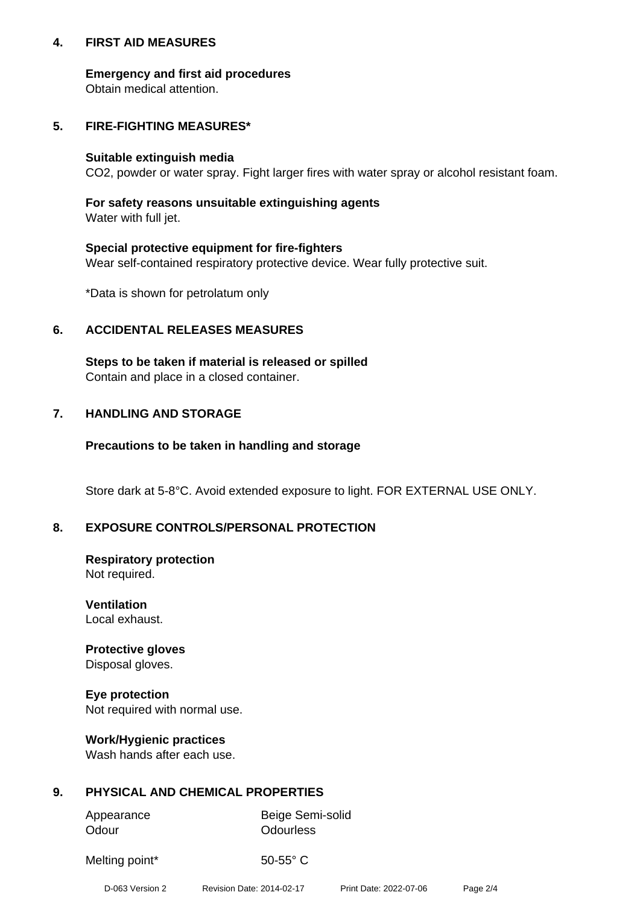#### **4. FIRST AID MEASURES**

#### **Emergency and first aid procedures**

Obtain medical attention.

#### **5. FIRE-FIGHTING MEASURES\***

#### **Suitable extinguish media**

CO2, powder or water spray. Fight larger fires with water spray or alcohol resistant foam.

# **For safety reasons unsuitable extinguishing agents**

Water with full jet.

#### **Special protective equipment for fire-fighters**

Wear self-contained respiratory protective device. Wear fully protective suit.

\*Data is shown for petrolatum only

#### **6. ACCIDENTAL RELEASES MEASURES**

**Steps to be taken if material is released or spilled** Contain and place in a closed container.

# **7. HANDLING AND STORAGE**

#### **Precautions to be taken in handling and storage**

Store dark at 5-8°C. Avoid extended exposure to light. FOR EXTERNAL USE ONLY.

# **8. EXPOSURE CONTROLS/PERSONAL PROTECTION**

# **Respiratory protection**

Not required.

**Ventilation** Local exhaust.

#### **Protective gloves** Disposal gloves.

**Eye protection** Not required with normal use.

# **Work/Hygienic practices**

Wash hands after each use.

# **9. PHYSICAL AND CHEMICAL PROPERTIES**

| Appearance | Beige Semi-solid |  |  |
|------------|------------------|--|--|
| Odour      | Odourless        |  |  |

Melting point\* 50-55° C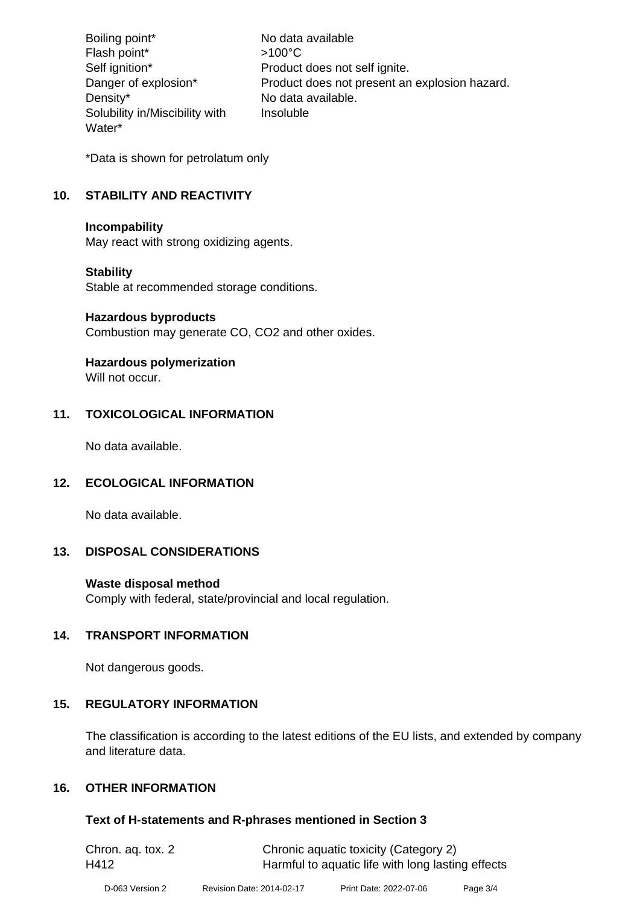Boiling point\* No data available Flash point\*  $>100^{\circ}$ C Self ignition\* Product does not self ignite. Danger of explosion\* Product does not present an explosion hazard. Density\* No data available. Solubility in/Miscibility with Water\* Insoluble

\*Data is shown for petrolatum only

#### **10. STABILITY AND REACTIVITY**

#### **Incompability**

May react with strong oxidizing agents.

#### **Stability**

Stable at recommended storage conditions.

#### **Hazardous byproducts**

Combustion may generate CO, CO2 and other oxides.

# **Hazardous polymerization**

Will not occur.

#### **11. TOXICOLOGICAL INFORMATION**

No data available.

#### **12. ECOLOGICAL INFORMATION**

No data available.

#### **13. DISPOSAL CONSIDERATIONS**

#### **Waste disposal method**

Comply with federal, state/provincial and local regulation.

#### **14. TRANSPORT INFORMATION**

Not dangerous goods.

#### **15. REGULATORY INFORMATION**

The classification is according to the latest editions of the EU lists, and extended by company and literature data.

#### **16. OTHER INFORMATION**

#### **Text of H-statements and R-phrases mentioned in Section 3**

| Chron. ag. tox. 2 | Chronic aquatic toxicity (Category 2)             |
|-------------------|---------------------------------------------------|
| H412              | Harmful to aquatic life with long lasting effects |
|                   |                                                   |